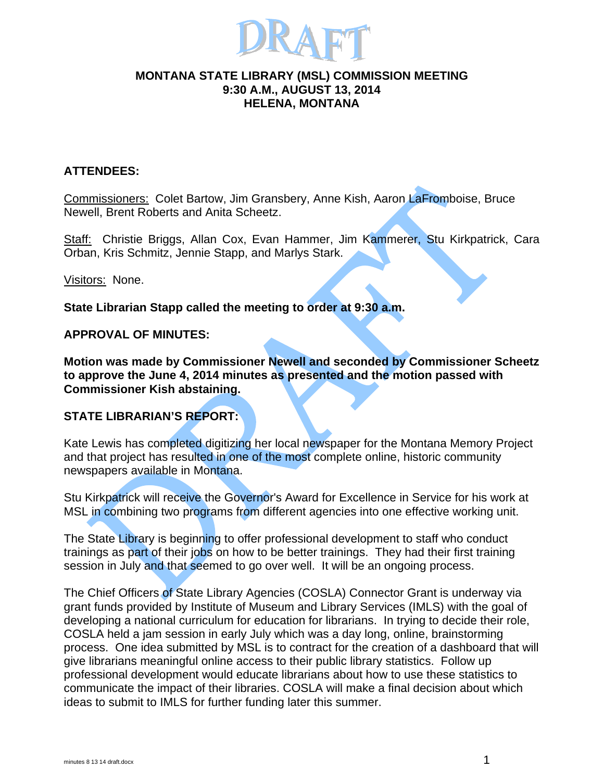

### **MONTANA STATE LIBRARY (MSL) COMMISSION MEETING 9:30 A.M., AUGUST 13, 2014 HELENA, MONTANA**

## **ATTENDEES:**

Commissioners: Colet Bartow, Jim Gransbery, Anne Kish, Aaron LaFromboise, Bruce Newell, Brent Roberts and Anita Scheetz.

Staff: Christie Briggs, Allan Cox, Evan Hammer, Jim Kammerer, Stu Kirkpatrick, Cara Orban, Kris Schmitz, Jennie Stapp, and Marlys Stark.

Visitors: None.

**State Librarian Stapp called the meeting to order at 9:30 a.m.** 

### **APPROVAL OF MINUTES:**

**Motion was made by Commissioner Newell and seconded by Commissioner Scheetz to approve the June 4, 2014 minutes as presented and the motion passed with Commissioner Kish abstaining.** 

## **STATE LIBRARIAN'S REPORT:**

Kate Lewis has completed digitizing her local newspaper for the Montana Memory Project and that project has resulted in one of the most complete online, historic community newspapers available in Montana.

Stu Kirkpatrick will receive the Governor's Award for Excellence in Service for his work at MSL in combining two programs from different agencies into one effective working unit.

The State Library is beginning to offer professional development to staff who conduct trainings as part of their jobs on how to be better trainings. They had their first training session in July and that seemed to go over well. It will be an ongoing process.

The Chief Officers of State Library Agencies (COSLA) Connector Grant is underway via grant funds provided by Institute of Museum and Library Services (IMLS) with the goal of developing a national curriculum for education for librarians. In trying to decide their role, COSLA held a jam session in early July which was a day long, online, brainstorming process. One idea submitted by MSL is to contract for the creation of a dashboard that will give librarians meaningful online access to their public library statistics. Follow up professional development would educate librarians about how to use these statistics to communicate the impact of their libraries. COSLA will make a final decision about which ideas to submit to IMLS for further funding later this summer.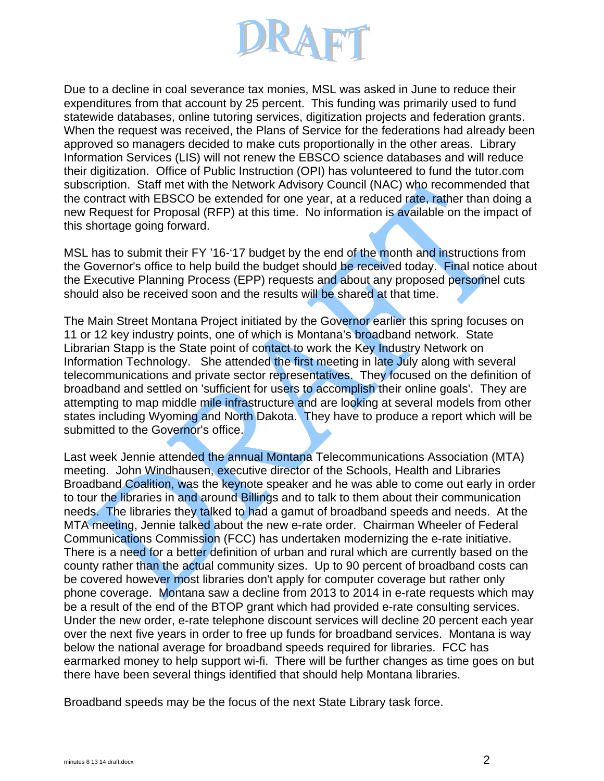

Due to a decline in coal severance tax monies, MSL was asked in June to reduce their expenditures from that account by 25 percent. This funding was primarily used to fund statewide databases, online tutoring services, digitization projects and federation grants. When the request was received, the Plans of Service for the federations had already been approved so managers decided to make cuts proportionally in the other areas. Library Information Services (LIS) will not renew the EBSCO science databases and will reduce their digitization. Office of Public Instruction (OPI) has volunteered to fund the tutor.com subscription. Staff met with the Network Advisory Council (NAC) who recommended that the contract with EBSCO be extended for one year, at a reduced rate, rather than doing a new Request for Proposal (RFP) at this time. No information is available on the impact of this shortage going forward.

MSL has to submit their FY '16-'17 budget by the end of the month and instructions from the Governor's office to help build the budget should be received today. Final notice about the Executive Planning Process (EPP) requests and about any proposed personnel cuts should also be received soon and the results will be shared at that time.

The Main Street Montana Project initiated by the Governor earlier this spring focuses on 11 or 12 key industry points, one of which is Montana's broadband network. State Librarian Stapp is the State point of contact to work the Key Industry Network on Information Technology. She attended the first meeting in late July along with several telecommunications and private sector representatives. They focused on the definition of broadband and settled on 'sufficient for users to accomplish their online goals'. They are attempting to map middle mile infrastructure and are looking at several models from other states including Wyoming and North Dakota. They have to produce a report which will be submitted to the Governor's office.

Last week Jennie attended the annual Montana Telecommunications Association (MTA) meeting. John Windhausen, executive director of the Schools, Health and Libraries Broadband Coalition, was the keynote speaker and he was able to come out early in order to tour the libraries in and around Billings and to talk to them about their communication needs. The libraries they talked to had a gamut of broadband speeds and needs. At the MTA meeting, Jennie talked about the new e-rate order. Chairman Wheeler of Federal Communications Commission (FCC) has undertaken modernizing the e-rate initiative. There is a need for a better definition of urban and rural which are currently based on the county rather than the actual community sizes. Up to 90 percent of broadband costs can be covered however most libraries don't apply for computer coverage but rather only phone coverage. Montana saw a decline from 2013 to 2014 in e-rate requests which may be a result of the end of the BTOP grant which had provided e-rate consulting services. Under the new order, e-rate telephone discount services will decline 20 percent each year over the next five years in order to free up funds for broadband services. Montana is way below the national average for broadband speeds required for libraries. FCC has earmarked money to help support wi-fi. There will be further changes as time goes on but there have been several things identified that should help Montana libraries.

Broadband speeds may be the focus of the next State Library task force.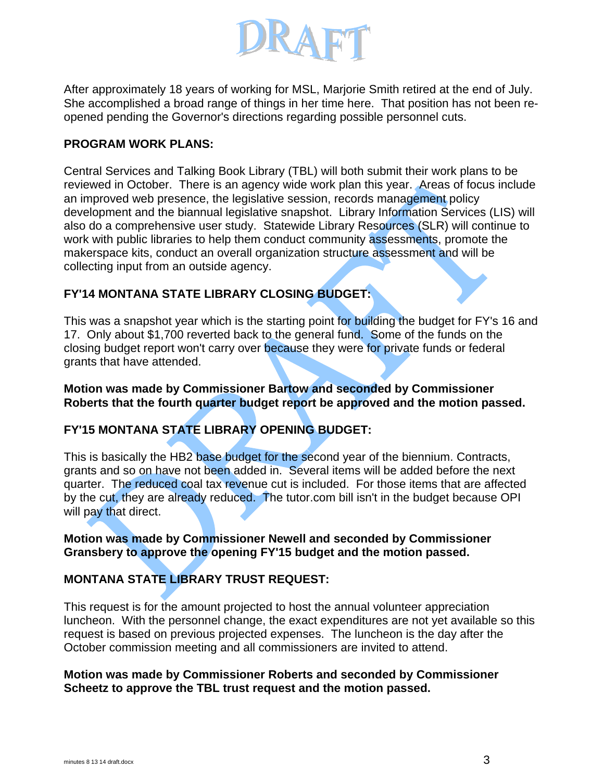

After approximately 18 years of working for MSL, Marjorie Smith retired at the end of July. She accomplished a broad range of things in her time here. That position has not been reopened pending the Governor's directions regarding possible personnel cuts.

## **PROGRAM WORK PLANS:**

Central Services and Talking Book Library (TBL) will both submit their work plans to be reviewed in October. There is an agency wide work plan this year. Areas of focus include an improved web presence, the legislative session, records management policy development and the biannual legislative snapshot. Library Information Services (LIS) will also do a comprehensive user study. Statewide Library Resources (SLR) will continue to work with public libraries to help them conduct community assessments, promote the makerspace kits, conduct an overall organization structure assessment and will be collecting input from an outside agency.

# **FY'14 MONTANA STATE LIBRARY CLOSING BUDGET:**

This was a snapshot year which is the starting point for building the budget for FY's 16 and 17. Only about \$1,700 reverted back to the general fund. Some of the funds on the closing budget report won't carry over because they were for private funds or federal grants that have attended.

#### **Motion was made by Commissioner Bartow and seconded by Commissioner Roberts that the fourth quarter budget report be approved and the motion passed.**

# **FY'15 MONTANA STATE LIBRARY OPENING BUDGET:**

This is basically the HB2 base budget for the second year of the biennium. Contracts, grants and so on have not been added in. Several items will be added before the next quarter. The reduced coal tax revenue cut is included. For those items that are affected by the cut, they are already reduced. The tutor.com bill isn't in the budget because OPI will pay that direct.

**Motion was made by Commissioner Newell and seconded by Commissioner Gransbery to approve the opening FY'15 budget and the motion passed.**

# **MONTANA STATE LIBRARY TRUST REQUEST:**

This request is for the amount projected to host the annual volunteer appreciation luncheon. With the personnel change, the exact expenditures are not yet available so this request is based on previous projected expenses. The luncheon is the day after the October commission meeting and all commissioners are invited to attend.

### **Motion was made by Commissioner Roberts and seconded by Commissioner Scheetz to approve the TBL trust request and the motion passed.**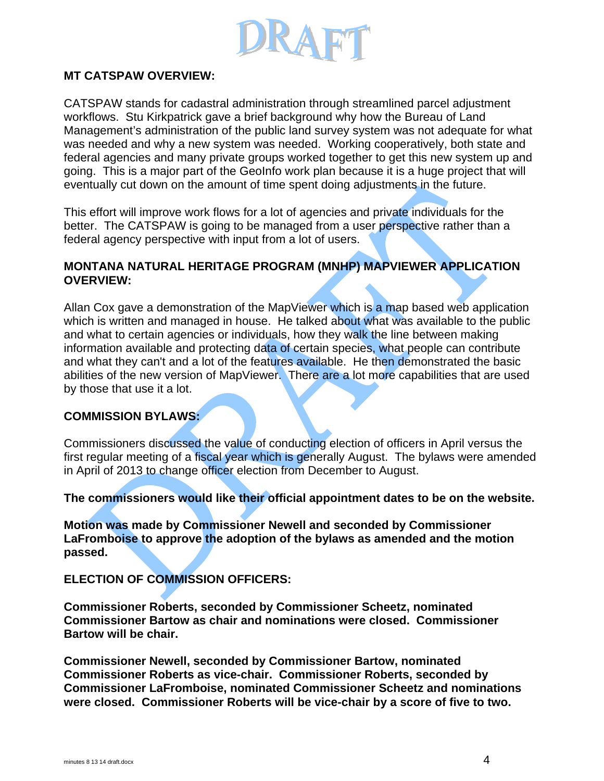

## **MT CATSPAW OVERVIEW:**

CATSPAW stands for cadastral administration through streamlined parcel adjustment workflows. Stu Kirkpatrick gave a brief background why how the Bureau of Land Management's administration of the public land survey system was not adequate for what was needed and why a new system was needed. Working cooperatively, both state and federal agencies and many private groups worked together to get this new system up and going. This is a major part of the GeoInfo work plan because it is a huge project that will eventually cut down on the amount of time spent doing adjustments in the future.

This effort will improve work flows for a lot of agencies and private individuals for the better. The CATSPAW is going to be managed from a user perspective rather than a federal agency perspective with input from a lot of users.

### **MONTANA NATURAL HERITAGE PROGRAM (MNHP) MAPVIEWER APPLICATION OVERVIEW:**

Allan Cox gave a demonstration of the MapViewer which is a map based web application which is written and managed in house. He talked about what was available to the public and what to certain agencies or individuals, how they walk the line between making information available and protecting data of certain species, what people can contribute and what they can't and a lot of the features available. He then demonstrated the basic abilities of the new version of MapViewer. There are a lot more capabilities that are used by those that use it a lot.

#### **COMMISSION BYLAWS:**

Commissioners discussed the value of conducting election of officers in April versus the first regular meeting of a fiscal year which is generally August. The bylaws were amended in April of 2013 to change officer election from December to August.

**The commissioners would like their official appointment dates to be on the website.** 

**Motion was made by Commissioner Newell and seconded by Commissioner LaFromboise to approve the adoption of the bylaws as amended and the motion passed.** 

#### **ELECTION OF COMMISSION OFFICERS:**

**Commissioner Roberts, seconded by Commissioner Scheetz, nominated Commissioner Bartow as chair and nominations were closed. Commissioner Bartow will be chair.** 

**Commissioner Newell, seconded by Commissioner Bartow, nominated Commissioner Roberts as vice-chair. Commissioner Roberts, seconded by Commissioner LaFromboise, nominated Commissioner Scheetz and nominations were closed. Commissioner Roberts will be vice-chair by a score of five to two.**